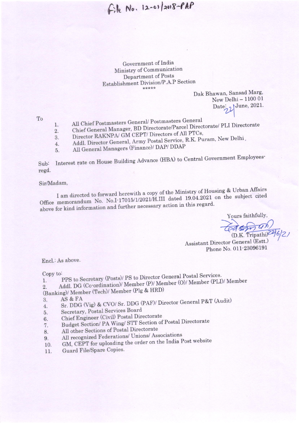File No. 12-01/2018-PAP

Government of India Ministry of Communication Department of Posts Establishment Division/P.A.P Section \*\*\*\*\*

Dak Bhawan, Sansad Marg, New Delhi - 1100 01 Date: JJune, 2021.

To

- All Chief Postmasters General/ Postmasters General
- Chief General Manager, BD Directorate/Parcel Directorate/ PLI Directorate 1.
- $2.$ Director RAKNPA/ GM CEPT/ Directors of All PTCs,
- 3. Addl. Director General, Army Postal Service, R.K. Puram, New Delhi,
- $\overline{4}$ . All General Managers (Finance)/ DAP/ DDAP 5.

Interest rate on House Building Advance (HBA) to Central Government Employees-Sub: regd.

#### Sir/Madam,

I am directed to forward herewith a copy of the Ministry of Housing & Urban Affairs Office memorandum No. No.I-17015/1/2021/H.III dated 19.04.2021 on the subject cited above for kind information and further necessary action in this regard.

Yours faithfully, (D.K. Tripathi)<sup>22</sup>

Assistant Director General (Estt.) Phone No. 011-23096191

Encl.: As above.

Copy to:

- PPS to Secretary (Posts)/ PS to Director General Postal Services.  $\overline{1}$ .
- Addl. DG (Co-ordination)/ Member (P)/ Member (O)/ Member (PLI)/ Member  $\overline{2}$ .
- (Banking)/ Member (Tech)/ Member (Plg & HRD)
- AS & FA 3.
- Sr. DDG (Vig) & CVO/ Sr. DDG (PAF)/ Director General P&T (Audit) 4.
- Secretary, Postal Services Board 5.
- Chief Engineer (Civil) Postal Directorate 6.
- Budget Section/ PA Wing/ STT Section of Postal Directorate 7.
- All other Sections of Postal Directorate 8.
- All recognized Federations/ Unions/ Associations
- 9. GM, CEPT for uploading the order on the India Post website 10.
- Guard File/Spare Copies. 11.